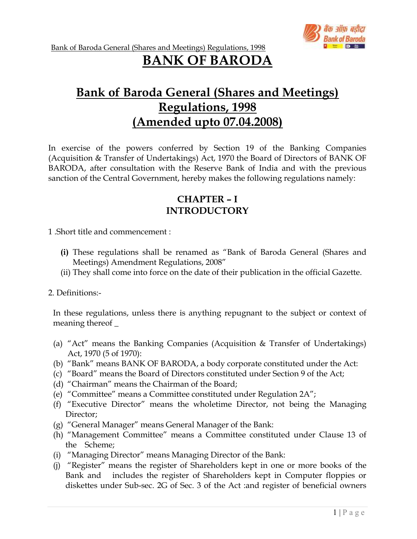

# BANK OF BARODA

# Bank of Baroda General (Shares and Meetings) Regulations, 1998 (Amended upto 07.04.2008)

In exercise of the powers conferred by Section 19 of the Banking Companies (Acquisition & Transfer of Undertakings) Act, 1970 the Board of Directors of BANK OF BARODA, after consultation with the Reserve Bank of India and with the previous sanction of the Central Government, hereby makes the following regulations namely:

# CHAPTER – I INTRODUCTORY

1 .Short title and commencement :

- (i) These regulations shall be renamed as "Bank of Baroda General (Shares and Meetings) Amendment Regulations, 2008"
- (ii) They shall come into force on the date of their publication in the official Gazette.

2. Definitions:-

In these regulations, unless there is anything repugnant to the subject or context of meaning thereof \_

- (a) "Act" means the Banking Companies (Acquisition & Transfer of Undertakings) Act, 1970 (5 of 1970):
- (b) "Bank" means BANK OF BARODA, a body corporate constituted under the Act:
- (c) "Board" means the Board of Directors constituted under Section 9 of the Act;
- (d) "Chairman" means the Chairman of the Board;
- (e) "Committee" means a Committee constituted under Regulation 2A";
- (f) "Executive Director" means the wholetime Director, not being the Managing Director:
- (g) "General Manager" means General Manager of the Bank:
- (h) "Management Committee" means a Committee constituted under Clause 13 of the Scheme;
- (i) "Managing Director" means Managing Director of the Bank:
- (j) "Register" means the register of Shareholders kept in one or more books of the Bank and includes the register of Shareholders kept in Computer floppies or diskettes under Sub-sec. 2G of Sec. 3 of the Act :and register of beneficial owners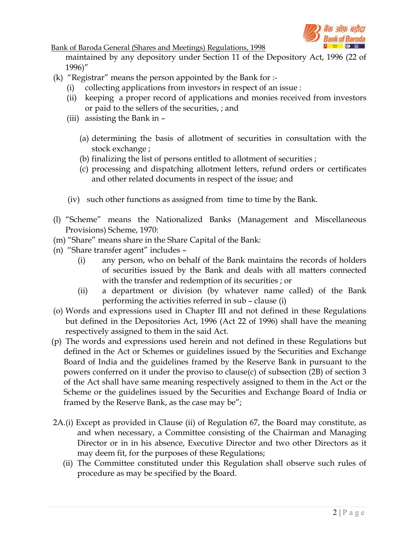

maintained by any depository under Section 11 of the Depository Act, 1996 (22 of 1996)"

- (k) "Registrar" means the person appointed by the Bank for :-
	- (i) collecting applications from investors in respect of an issue :
	- (ii) keeping a proper record of applications and monies received from investors or paid to the sellers of the securities, ; and
	- (iii) assisting the Bank in
		- (a) determining the basis of allotment of securities in consultation with the stock exchange ;
		- (b) finalizing the list of persons entitled to allotment of securities ;
		- (c) processing and dispatching allotment letters, refund orders or certificates and other related documents in respect of the issue; and
	- (iv) such other functions as assigned from time to time by the Bank.
- (l) "Scheme" means the Nationalized Banks (Management and Miscellaneous Provisions) Scheme, 1970:
- (m) "Share" means share in the Share Capital of the Bank:
- (n) "Share transfer agent" includes
	- (i) any person, who on behalf of the Bank maintains the records of holders of securities issued by the Bank and deals with all matters connected with the transfer and redemption of its securities ; or
	- (ii) a department or division (by whatever name called) of the Bank performing the activities referred in sub – clause (i)
- (o) Words and expressions used in Chapter III and not defined in these Regulations but defined in the Depositories Act, 1996 (Act 22 of 1996) shall have the meaning respectively assigned to them in the said Act.
- (p) The words and expressions used herein and not defined in these Regulations but defined in the Act or Schemes or guidelines issued by the Securities and Exchange Board of India and the guidelines framed by the Reserve Bank in pursuant to the powers conferred on it under the proviso to clause(c) of subsection (2B) of section 3 of the Act shall have same meaning respectively assigned to them in the Act or the Scheme or the guidelines issued by the Securities and Exchange Board of India or framed by the Reserve Bank, as the case may be";
- 2A.(i) Except as provided in Clause (ii) of Regulation 67, the Board may constitute, as and when necessary, a Committee consisting of the Chairman and Managing Director or in in his absence, Executive Director and two other Directors as it may deem fit, for the purposes of these Regulations;
	- (ii) The Committee constituted under this Regulation shall observe such rules of procedure as may be specified by the Board.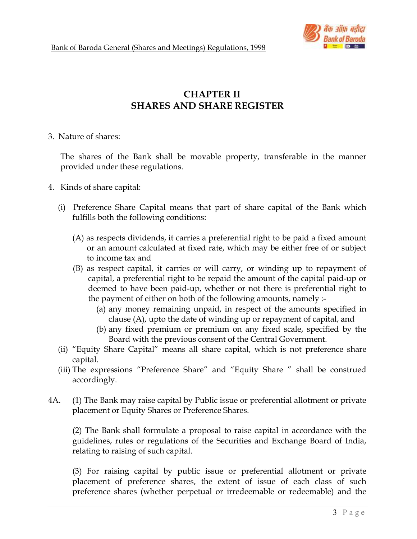

# CHAPTER II SHARES AND SHARE REGISTER

3. Nature of shares:

 The shares of the Bank shall be movable property, transferable in the manner provided under these regulations.

- 4. Kinds of share capital:
	- (i) Preference Share Capital means that part of share capital of the Bank which fulfills both the following conditions:
		- (A) as respects dividends, it carries a preferential right to be paid a fixed amount or an amount calculated at fixed rate, which may be either free of or subject to income tax and
		- (B) as respect capital, it carries or will carry, or winding up to repayment of capital, a preferential right to be repaid the amount of the capital paid-up or deemed to have been paid-up, whether or not there is preferential right to the payment of either on both of the following amounts, namely :-
			- (a) any money remaining unpaid, in respect of the amounts specified in clause (A), upto the date of winding up or repayment of capital, and
			- (b) any fixed premium or premium on any fixed scale, specified by the Board with the previous consent of the Central Government.
	- (ii) "Equity Share Capital" means all share capital, which is not preference share capital.
	- (iii) The expressions "Preference Share" and "Equity Share " shall be construed accordingly.
- 4A. (1) The Bank may raise capital by Public issue or preferential allotment or private placement or Equity Shares or Preference Shares.

(2) The Bank shall formulate a proposal to raise capital in accordance with the guidelines, rules or regulations of the Securities and Exchange Board of India, relating to raising of such capital.

(3) For raising capital by public issue or preferential allotment or private placement of preference shares, the extent of issue of each class of such preference shares (whether perpetual or irredeemable or redeemable) and the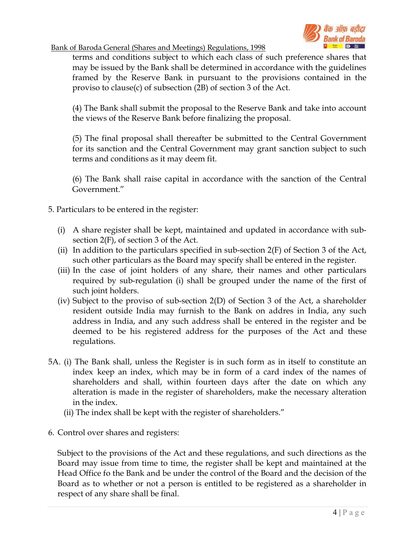

terms and conditions subject to which each class of such preference shares that may be issued by the Bank shall be determined in accordance with the guidelines framed by the Reserve Bank in pursuant to the provisions contained in the proviso to clause(c) of subsection (2B) of section 3 of the Act.

(4) The Bank shall submit the proposal to the Reserve Bank and take into account the views of the Reserve Bank before finalizing the proposal.

(5) The final proposal shall thereafter be submitted to the Central Government for its sanction and the Central Government may grant sanction subject to such terms and conditions as it may deem fit.

(6) The Bank shall raise capital in accordance with the sanction of the Central Government."

- 5. Particulars to be entered in the register:
	- (i) A share register shall be kept, maintained and updated in accordance with subsection 2(F), of section 3 of the Act.
	- (ii) In addition to the particulars specified in sub-section  $2(F)$  of Section 3 of the Act, such other particulars as the Board may specify shall be entered in the register.
	- (iii) In the case of joint holders of any share, their names and other particulars required by sub-regulation (i) shall be grouped under the name of the first of such joint holders.
	- (iv) Subject to the proviso of sub-section 2(D) of Section 3 of the Act, a shareholder resident outside India may furnish to the Bank on addres in India, any such address in India, and any such address shall be entered in the register and be deemed to be his registered address for the purposes of the Act and these regulations.
- 5A. (i) The Bank shall, unless the Register is in such form as in itself to constitute an index keep an index, which may be in form of a card index of the names of shareholders and shall, within fourteen days after the date on which any alteration is made in the register of shareholders, make the necessary alteration in the index.
	- (ii) The index shall be kept with the register of shareholders."
- 6. Control over shares and registers:

 Subject to the provisions of the Act and these regulations, and such directions as the Board may issue from time to time, the register shall be kept and maintained at the Head Office fo the Bank and be under the control of the Board and the decision of the Board as to whether or not a person is entitled to be registered as a shareholder in respect of any share shall be final.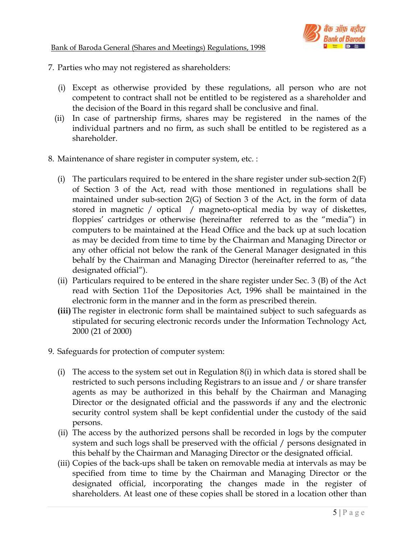

- 7. Parties who may not registered as shareholders:
	- (i) Except as otherwise provided by these regulations, all person who are not competent to contract shall not be entitled to be registered as a shareholder and the decision of the Board in this regard shall be conclusive and final.
	- (ii) In case of partnership firms, shares may be registered in the names of the individual partners and no firm, as such shall be entitled to be registered as a shareholder.
- 8. Maintenance of share register in computer system, etc. :
	- (i) The particulars required to be entered in the share register under sub-section 2(F) of Section 3 of the Act, read with those mentioned in regulations shall be maintained under sub-section 2(G) of Section 3 of the Act, in the form of data stored in magnetic / optical / magneto-optical media by way of diskettes, floppies' cartridges or otherwise (hereinafter referred to as the "media") in computers to be maintained at the Head Office and the back up at such location as may be decided from time to time by the Chairman and Managing Director or any other official not below the rank of the General Manager designated in this behalf by the Chairman and Managing Director (hereinafter referred to as, "the designated official").
	- (ii) Particulars required to be entered in the share register under Sec. 3 (B) of the Act read with Section 11of the Depositories Act, 1996 shall be maintained in the electronic form in the manner and in the form as prescribed therein.
	- (iii) The register in electronic form shall be maintained subject to such safeguards as stipulated for securing electronic records under the Information Technology Act, 2000 (21 of 2000)
- 9. Safeguards for protection of computer system:
	- (i) The access to the system set out in Regulation 8(i) in which data is stored shall be restricted to such persons including Registrars to an issue and / or share transfer agents as may be authorized in this behalf by the Chairman and Managing Director or the designated official and the passwords if any and the electronic security control system shall be kept confidential under the custody of the said persons.
	- (ii) The access by the authorized persons shall be recorded in logs by the computer system and such logs shall be preserved with the official / persons designated in this behalf by the Chairman and Managing Director or the designated official.
	- (iii) Copies of the back-ups shall be taken on removable media at intervals as may be specified from time to time by the Chairman and Managing Director or the designated official, incorporating the changes made in the register of shareholders. At least one of these copies shall be stored in a location other than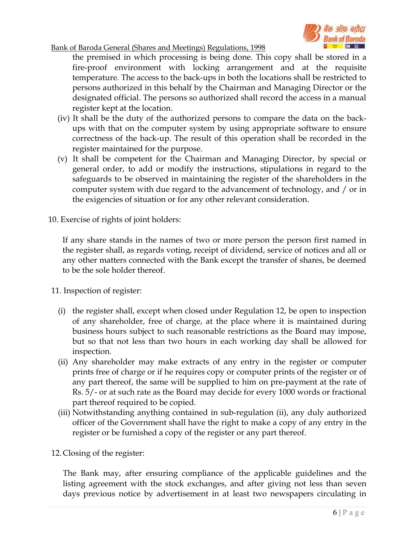

the premised in which processing is being done. This copy shall be stored in a fire-proof environment with locking arrangement and at the requisite temperature. The access to the back-ups in both the locations shall be restricted to persons authorized in this behalf by the Chairman and Managing Director or the designated official. The persons so authorized shall record the access in a manual register kept at the location.

- (iv) It shall be the duty of the authorized persons to compare the data on the backups with that on the computer system by using appropriate software to ensure correctness of the back-up. The result of this operation shall be recorded in the register maintained for the purpose.
- (v) It shall be competent for the Chairman and Managing Director, by special or general order, to add or modify the instructions, stipulations in regard to the safeguards to be observed in maintaining the register of the shareholders in the computer system with due regard to the advancement of technology, and / or in the exigencies of situation or for any other relevant consideration.
- 10. Exercise of rights of joint holders:

If any share stands in the names of two or more person the person first named in the register shall, as regards voting, receipt of dividend, service of notices and all or any other matters connected with the Bank except the transfer of shares, be deemed to be the sole holder thereof.

11. Inspection of register:

- (i) the register shall, except when closed under Regulation 12, be open to inspection of any shareholder, free of charge, at the place where it is maintained during business hours subject to such reasonable restrictions as the Board may impose, but so that not less than two hours in each working day shall be allowed for inspection.
- (ii) Any shareholder may make extracts of any entry in the register or computer prints free of charge or if he requires copy or computer prints of the register or of any part thereof, the same will be supplied to him on pre-payment at the rate of Rs. 5/- or at such rate as the Board may decide for every 1000 words or fractional part thereof required to be copied.
- (iii) Notwithstanding anything contained in sub-regulation (ii), any duly authorized officer of the Government shall have the right to make a copy of any entry in the register or be furnished a copy of the register or any part thereof.
- 12. Closing of the register:

The Bank may, after ensuring compliance of the applicable guidelines and the listing agreement with the stock exchanges, and after giving not less than seven days previous notice by advertisement in at least two newspapers circulating in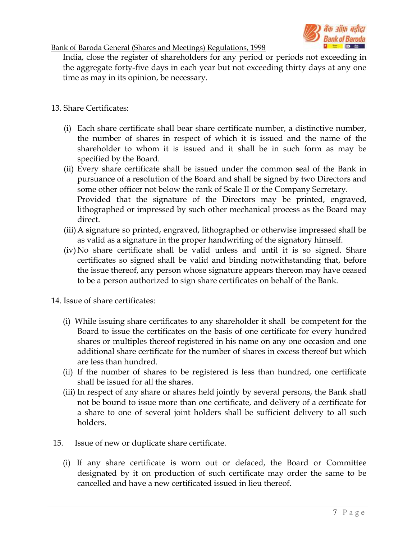

India, close the register of shareholders for any period or periods not exceeding in the aggregate forty-five days in each year but not exceeding thirty days at any one time as may in its opinion, be necessary.

## 13. Share Certificates:

- (i) Each share certificate shall bear share certificate number, a distinctive number, the number of shares in respect of which it is issued and the name of the shareholder to whom it is issued and it shall be in such form as may be specified by the Board.
- (ii) Every share certificate shall be issued under the common seal of the Bank in pursuance of a resolution of the Board and shall be signed by two Directors and some other officer not below the rank of Scale II or the Company Secretary. Provided that the signature of the Directors may be printed, engraved, lithographed or impressed by such other mechanical process as the Board may direct.
- (iii)A signature so printed, engraved, lithographed or otherwise impressed shall be as valid as a signature in the proper handwriting of the signatory himself.
- (iv) No share certificate shall be valid unless and until it is so signed. Share certificates so signed shall be valid and binding notwithstanding that, before the issue thereof, any person whose signature appears thereon may have ceased to be a person authorized to sign share certificates on behalf of the Bank.
- 14. Issue of share certificates:
	- (i) While issuing share certificates to any shareholder it shall be competent for the Board to issue the certificates on the basis of one certificate for every hundred shares or multiples thereof registered in his name on any one occasion and one additional share certificate for the number of shares in excess thereof but which are less than hundred.
	- (ii) If the number of shares to be registered is less than hundred, one certificate shall be issued for all the shares.
	- (iii) In respect of any share or shares held jointly by several persons, the Bank shall not be bound to issue more than one certificate, and delivery of a certificate for a share to one of several joint holders shall be sufficient delivery to all such holders.
- 15. Issue of new or duplicate share certificate.
	- (i) If any share certificate is worn out or defaced, the Board or Committee designated by it on production of such certificate may order the same to be cancelled and have a new certificated issued in lieu thereof.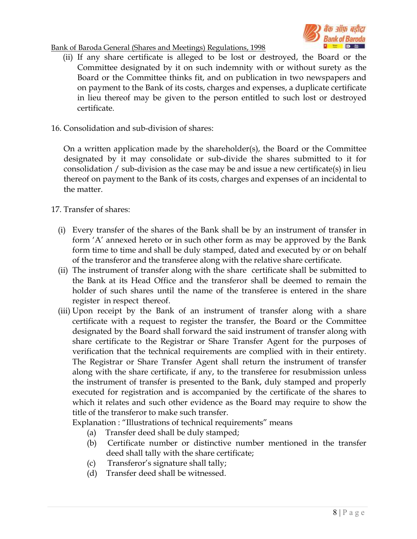



- (ii) If any share certificate is alleged to be lost or destroyed, the Board or the Committee designated by it on such indemnity with or without surety as the Board or the Committee thinks fit, and on publication in two newspapers and on payment to the Bank of its costs, charges and expenses, a duplicate certificate in lieu thereof may be given to the person entitled to such lost or destroyed certificate.
- 16. Consolidation and sub-division of shares:

 On a written application made by the shareholder(s), the Board or the Committee designated by it may consolidate or sub-divide the shares submitted to it for consolidation / sub-division as the case may be and issue a new certificate(s) in lieu thereof on payment to the Bank of its costs, charges and expenses of an incidental to the matter.

#### 17. Transfer of shares:

- (i) Every transfer of the shares of the Bank shall be by an instrument of transfer in form 'A' annexed hereto or in such other form as may be approved by the Bank form time to time and shall be duly stamped, dated and executed by or on behalf of the transferor and the transferee along with the relative share certificate.
- (ii) The instrument of transfer along with the share certificate shall be submitted to the Bank at its Head Office and the transferor shall be deemed to remain the holder of such shares until the name of the transferee is entered in the share register in respect thereof.
- (iii) Upon receipt by the Bank of an instrument of transfer along with a share certificate with a request to register the transfer, the Board or the Committee designated by the Board shall forward the said instrument of transfer along with share certificate to the Registrar or Share Transfer Agent for the purposes of verification that the technical requirements are complied with in their entirety. The Registrar or Share Transfer Agent shall return the instrument of transfer along with the share certificate, if any, to the transferee for resubmission unless the instrument of transfer is presented to the Bank, duly stamped and properly executed for registration and is accompanied by the certificate of the shares to which it relates and such other evidence as the Board may require to show the title of the transferor to make such transfer.

Explanation : "Illustrations of technical requirements" means

- (a) Transfer deed shall be duly stamped;
- (b) Certificate number or distinctive number mentioned in the transfer deed shall tally with the share certificate;
- (c) Transferor's signature shall tally;
- (d) Transfer deed shall be witnessed.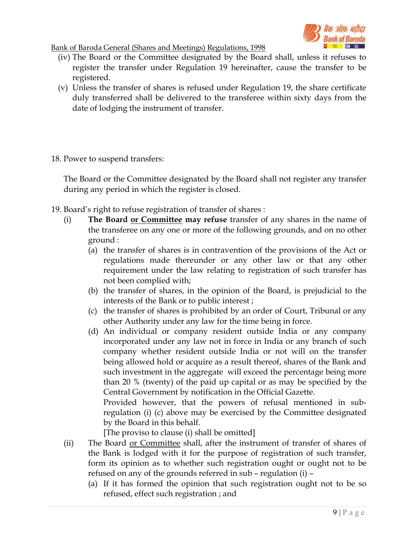

- (iv) The Board or the Committee designated by the Board shall, unless it refuses to register the transfer under Regulation 19 hereinafter, cause the transfer to be registered.
- (v) Unless the transfer of shares is refused under Regulation 19, the share certificate duly transferred shall be delivered to the transferee within sixty days from the date of lodging the instrument of transfer.
- 18. Power to suspend transfers:

 The Board or the Committee designated by the Board shall not register any transfer during any period in which the register is closed.

- 19. Board's right to refuse registration of transfer of shares :
	- (i) **The Board <u>or Committee</u> may refuse** transfer of any shares in the name of the transferee on any one or more of the following grounds, and on no other ground :
		- (a) the transfer of shares is in contravention of the provisions of the Act or regulations made thereunder or any other law or that any other requirement under the law relating to registration of such transfer has not been complied with;
		- (b) the transfer of shares, in the opinion of the Board, is prejudicial to the interests of the Bank or to public interest ;
		- (c) the transfer of shares is prohibited by an order of Court, Tribunal or any other Authority under any law for the time being in force.
		- (d) An individual or company resident outside India or any company incorporated under any law not in force in India or any branch of such company whether resident outside India or not will on the transfer being allowed hold or acquire as a result thereof, shares of the Bank and such investment in the aggregate will exceed the percentage being more than 20 % (twenty) of the paid up capital or as may be specified by the Central Government by notification in the Official Gazette.

Provided however, that the powers of refusal mentioned in subregulation (i) (c) above may be exercised by the Committee designated by the Board in this behalf.

[The proviso to clause (i) shall be omitted]

- (ii) The Board or Committee shall, after the instrument of transfer of shares of the Bank is lodged with it for the purpose of registration of such transfer, form its opinion as to whether such registration ought or ought not to be refused on any of the grounds referred in sub – regulation (i) –
	- (a) If it has formed the opinion that such registration ought not to be so refused, effect such registration ; and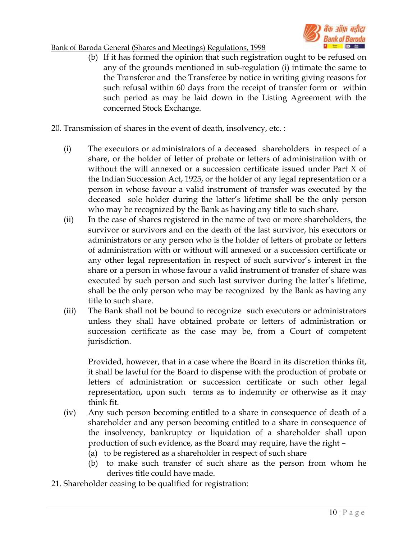

(b) If it has formed the opinion that such registration ought to be refused on any of the grounds mentioned in sub-regulation (i) intimate the same to the Transferor and the Transferee by notice in writing giving reasons for such refusal within 60 days from the receipt of transfer form or within such period as may be laid down in the Listing Agreement with the concerned Stock Exchange.

20. Transmission of shares in the event of death, insolvency, etc. :

- (i) The executors or administrators of a deceased shareholders in respect of a share, or the holder of letter of probate or letters of administration with or without the will annexed or a succession certificate issued under Part X of the Indian Succession Act, 1925, or the holder of any legal representation or a person in whose favour a valid instrument of transfer was executed by the deceased sole holder during the latter's lifetime shall be the only person who may be recognized by the Bank as having any title to such share.
- (ii) In the case of shares registered in the name of two or more shareholders, the survivor or survivors and on the death of the last survivor, his executors or administrators or any person who is the holder of letters of probate or letters of administration with or without will annexed or a succession certificate or any other legal representation in respect of such survivor's interest in the share or a person in whose favour a valid instrument of transfer of share was executed by such person and such last survivor during the latter's lifetime, shall be the only person who may be recognized by the Bank as having any title to such share.
- (iii) The Bank shall not be bound to recognize such executors or administrators unless they shall have obtained probate or letters of administration or succession certificate as the case may be, from a Court of competent jurisdiction.

Provided, however, that in a case where the Board in its discretion thinks fit, it shall be lawful for the Board to dispense with the production of probate or letters of administration or succession certificate or such other legal representation, upon such terms as to indemnity or otherwise as it may think fit.

- (iv) Any such person becoming entitled to a share in consequence of death of a shareholder and any person becoming entitled to a share in consequence of the insolvency, bankruptcy or liquidation of a shareholder shall upon production of such evidence, as the Board may require, have the right –
	- (a) to be registered as a shareholder in respect of such share
	- (b) to make such transfer of such share as the person from whom he derives title could have made.
- 21. Shareholder ceasing to be qualified for registration: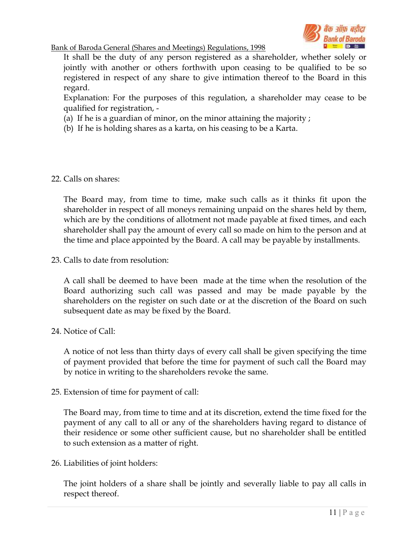

 It shall be the duty of any person registered as a shareholder, whether solely or jointly with another or others forthwith upon ceasing to be qualified to be so registered in respect of any share to give intimation thereof to the Board in this regard.

 Explanation: For the purposes of this regulation, a shareholder may cease to be qualified for registration, -

- (a) If he is a guardian of minor, on the minor attaining the majority ;
- (b) If he is holding shares as a karta, on his ceasing to be a Karta.

## 22. Calls on shares:

 The Board may, from time to time, make such calls as it thinks fit upon the shareholder in respect of all moneys remaining unpaid on the shares held by them, which are by the conditions of allotment not made payable at fixed times, and each shareholder shall pay the amount of every call so made on him to the person and at the time and place appointed by the Board. A call may be payable by installments.

23. Calls to date from resolution:

 A call shall be deemed to have been made at the time when the resolution of the Board authorizing such call was passed and may be made payable by the shareholders on the register on such date or at the discretion of the Board on such subsequent date as may be fixed by the Board.

## 24 Notice of Call:

 A notice of not less than thirty days of every call shall be given specifying the time of payment provided that before the time for payment of such call the Board may by notice in writing to the shareholders revoke the same.

25. Extension of time for payment of call:

 The Board may, from time to time and at its discretion, extend the time fixed for the payment of any call to all or any of the shareholders having regard to distance of their residence or some other sufficient cause, but no shareholder shall be entitled to such extension as a matter of right.

26. Liabilities of joint holders:

 The joint holders of a share shall be jointly and severally liable to pay all calls in respect thereof.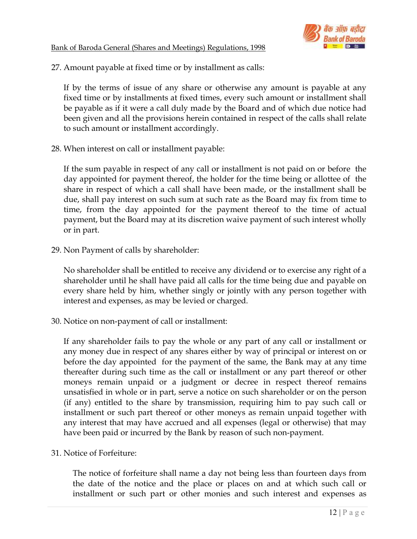

27. Amount payable at fixed time or by installment as calls:

 If by the terms of issue of any share or otherwise any amount is payable at any fixed time or by installments at fixed times, every such amount or installment shall be payable as if it were a call duly made by the Board and of which due notice had been given and all the provisions herein contained in respect of the calls shall relate to such amount or installment accordingly.

28. When interest on call or installment payable:

 If the sum payable in respect of any call or installment is not paid on or before the day appointed for payment thereof, the holder for the time being or allottee of the share in respect of which a call shall have been made, or the installment shall be due, shall pay interest on such sum at such rate as the Board may fix from time to time, from the day appointed for the payment thereof to the time of actual payment, but the Board may at its discretion waive payment of such interest wholly or in part.

29. Non Payment of calls by shareholder:

 No shareholder shall be entitled to receive any dividend or to exercise any right of a shareholder until he shall have paid all calls for the time being due and payable on every share held by him, whether singly or jointly with any person together with interest and expenses, as may be levied or charged.

30. Notice on non-payment of call or installment:

 If any shareholder fails to pay the whole or any part of any call or installment or any money due in respect of any shares either by way of principal or interest on or before the day appointed for the payment of the same, the Bank may at any time thereafter during such time as the call or installment or any part thereof or other moneys remain unpaid or a judgment or decree in respect thereof remains unsatisfied in whole or in part, serve a notice on such shareholder or on the person (if any) entitled to the share by transmission, requiring him to pay such call or installment or such part thereof or other moneys as remain unpaid together with any interest that may have accrued and all expenses (legal or otherwise) that may have been paid or incurred by the Bank by reason of such non-payment.

31. Notice of Forfeiture:

 The notice of forfeiture shall name a day not being less than fourteen days from the date of the notice and the place or places on and at which such call or installment or such part or other monies and such interest and expenses as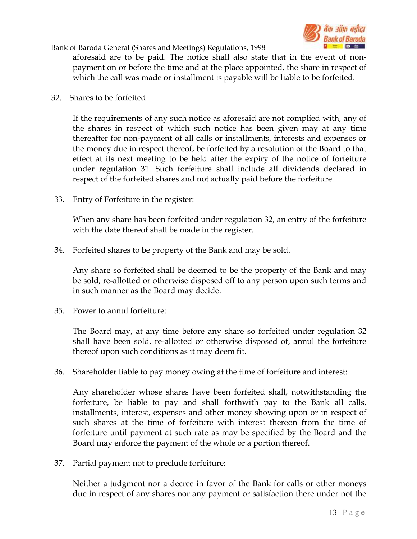

aforesaid are to be paid. The notice shall also state that in the event of nonpayment on or before the time and at the place appointed, the share in respect of which the call was made or installment is payable will be liable to be forfeited.

32. Shares to be forfeited

 If the requirements of any such notice as aforesaid are not complied with, any of the shares in respect of which such notice has been given may at any time thereafter for non-payment of all calls or installments, interests and expenses or the money due in respect thereof, be forfeited by a resolution of the Board to that effect at its next meeting to be held after the expiry of the notice of forfeiture under regulation 31. Such forfeiture shall include all dividends declared in respect of the forfeited shares and not actually paid before the forfeiture.

33. Entry of Forfeiture in the register:

When any share has been forfeited under regulation 32, an entry of the forfeiture with the date thereof shall be made in the register.

34. Forfeited shares to be property of the Bank and may be sold.

 Any share so forfeited shall be deemed to be the property of the Bank and may be sold, re-allotted or otherwise disposed off to any person upon such terms and in such manner as the Board may decide.

35. Power to annul forfeiture:

 The Board may, at any time before any share so forfeited under regulation 32 shall have been sold, re-allotted or otherwise disposed of, annul the forfeiture thereof upon such conditions as it may deem fit.

36. Shareholder liable to pay money owing at the time of forfeiture and interest:

 Any shareholder whose shares have been forfeited shall, notwithstanding the forfeiture, be liable to pay and shall forthwith pay to the Bank all calls, installments, interest, expenses and other money showing upon or in respect of such shares at the time of forfeiture with interest thereon from the time of forfeiture until payment at such rate as may be specified by the Board and the Board may enforce the payment of the whole or a portion thereof.

37. Partial payment not to preclude forfeiture:

 Neither a judgment nor a decree in favor of the Bank for calls or other moneys due in respect of any shares nor any payment or satisfaction there under not the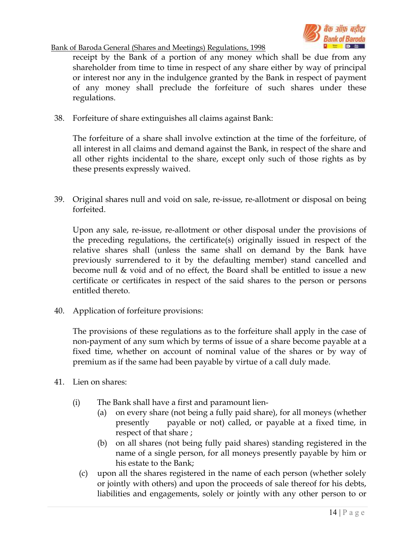

receipt by the Bank of a portion of any money which shall be due from any shareholder from time to time in respect of any share either by way of principal or interest nor any in the indulgence granted by the Bank in respect of payment of any money shall preclude the forfeiture of such shares under these regulations.

38. Forfeiture of share extinguishes all claims against Bank:

 The forfeiture of a share shall involve extinction at the time of the forfeiture, of all interest in all claims and demand against the Bank, in respect of the share and all other rights incidental to the share, except only such of those rights as by these presents expressly waived.

39. Original shares null and void on sale, re-issue, re-allotment or disposal on being forfeited.

 Upon any sale, re-issue, re-allotment or other disposal under the provisions of the preceding regulations, the certificate(s) originally issued in respect of the relative shares shall (unless the same shall on demand by the Bank have previously surrendered to it by the defaulting member) stand cancelled and become null & void and of no effect, the Board shall be entitled to issue a new certificate or certificates in respect of the said shares to the person or persons entitled thereto.

40. Application of forfeiture provisions:

 The provisions of these regulations as to the forfeiture shall apply in the case of non-payment of any sum which by terms of issue of a share become payable at a fixed time, whether on account of nominal value of the shares or by way of premium as if the same had been payable by virtue of a call duly made.

- 41. Lien on shares:
	- (i) The Bank shall have a first and paramount lien-
		- (a) on every share (not being a fully paid share), for all moneys (whether presently payable or not) called, or payable at a fixed time, in respect of that share ;
		- (b) on all shares (not being fully paid shares) standing registered in the name of a single person, for all moneys presently payable by him or his estate to the Bank;
		- (c) upon all the shares registered in the name of each person (whether solely or jointly with others) and upon the proceeds of sale thereof for his debts, liabilities and engagements, solely or jointly with any other person to or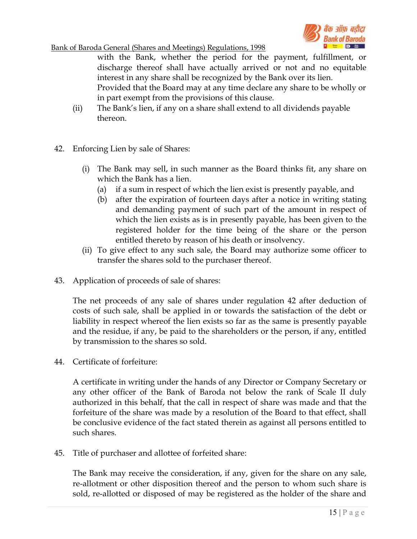

with the Bank, whether the period for the payment, fulfillment, or discharge thereof shall have actually arrived or not and no equitable interest in any share shall be recognized by the Bank over its lien.

Provided that the Board may at any time declare any share to be wholly or in part exempt from the provisions of this clause.

- (ii) The Bank's lien, if any on a share shall extend to all dividends payable thereon.
- 42. Enforcing Lien by sale of Shares:
	- (i) The Bank may sell, in such manner as the Board thinks fit, any share on which the Bank has a lien.
		- (a) if a sum in respect of which the lien exist is presently payable, and
		- (b) after the expiration of fourteen days after a notice in writing stating and demanding payment of such part of the amount in respect of which the lien exists as is in presently payable, has been given to the registered holder for the time being of the share or the person entitled thereto by reason of his death or insolvency.
	- (ii) To give effect to any such sale, the Board may authorize some officer to transfer the shares sold to the purchaser thereof.
- 43. Application of proceeds of sale of shares:

 The net proceeds of any sale of shares under regulation 42 after deduction of costs of such sale, shall be applied in or towards the satisfaction of the debt or liability in respect whereof the lien exists so far as the same is presently payable and the residue, if any, be paid to the shareholders or the person, if any, entitled by transmission to the shares so sold.

44. Certificate of forfeiture:

 A certificate in writing under the hands of any Director or Company Secretary or any other officer of the Bank of Baroda not below the rank of Scale II duly authorized in this behalf, that the call in respect of share was made and that the forfeiture of the share was made by a resolution of the Board to that effect, shall be conclusive evidence of the fact stated therein as against all persons entitled to such shares.

45. Title of purchaser and allottee of forfeited share:

 The Bank may receive the consideration, if any, given for the share on any sale, re-allotment or other disposition thereof and the person to whom such share is sold, re-allotted or disposed of may be registered as the holder of the share and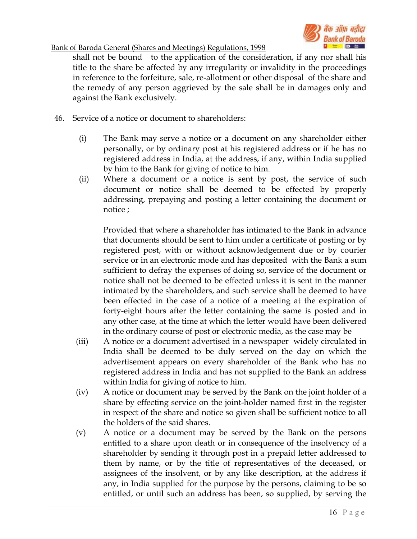

shall not be bound to the application of the consideration, if any nor shall his title to the share be affected by any irregularity or invalidity in the proceedings in reference to the forfeiture, sale, re-allotment or other disposal of the share and the remedy of any person aggrieved by the sale shall be in damages only and against the Bank exclusively.

- 46. Service of a notice or document to shareholders:
	- (i) The Bank may serve a notice or a document on any shareholder either personally, or by ordinary post at his registered address or if he has no registered address in India, at the address, if any, within India supplied by him to the Bank for giving of notice to him.
	- (ii) Where a document or a notice is sent by post, the service of such document or notice shall be deemed to be effected by properly addressing, prepaying and posting a letter containing the document or notice ;

Provided that where a shareholder has intimated to the Bank in advance that documents should be sent to him under a certificate of posting or by registered post, with or without acknowledgement due or by courier service or in an electronic mode and has deposited with the Bank a sum sufficient to defray the expenses of doing so, service of the document or notice shall not be deemed to be effected unless it is sent in the manner intimated by the shareholders, and such service shall be deemed to have been effected in the case of a notice of a meeting at the expiration of forty-eight hours after the letter containing the same is posted and in any other case, at the time at which the letter would have been delivered in the ordinary course of post or electronic media, as the case may be

- (iii) A notice or a document advertised in a newspaper widely circulated in India shall be deemed to be duly served on the day on which the advertisement appears on every shareholder of the Bank who has no registered address in India and has not supplied to the Bank an address within India for giving of notice to him.
- (iv) A notice or document may be served by the Bank on the joint holder of a share by effecting service on the joint-holder named first in the register in respect of the share and notice so given shall be sufficient notice to all the holders of the said shares.
- (v) A notice or a document may be served by the Bank on the persons entitled to a share upon death or in consequence of the insolvency of a shareholder by sending it through post in a prepaid letter addressed to them by name, or by the title of representatives of the deceased, or assignees of the insolvent, or by any like description, at the address if any, in India supplied for the purpose by the persons, claiming to be so entitled, or until such an address has been, so supplied, by serving the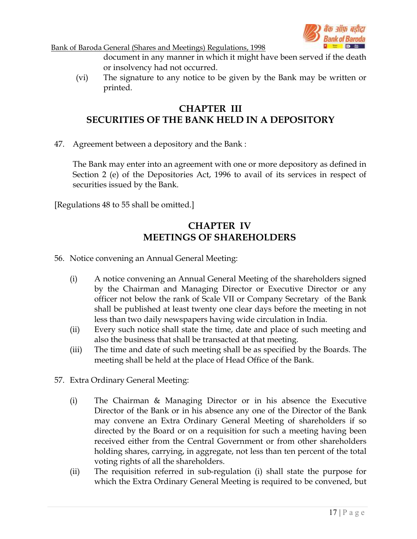

document in any manner in which it might have been served if the death or insolvency had not occurred.

(vi) The signature to any notice to be given by the Bank may be written or printed.

## CHAPTER III SECURITIES OF THE BANK HELD IN A DEPOSITORY

47. Agreement between a depository and the Bank :

 The Bank may enter into an agreement with one or more depository as defined in Section 2 (e) of the Depositories Act, 1996 to avail of its services in respect of securities issued by the Bank.

[Regulations 48 to 55 shall be omitted.]

# CHAPTER IV MEETINGS OF SHAREHOLDERS

- 56. Notice convening an Annual General Meeting:
	- (i) A notice convening an Annual General Meeting of the shareholders signed by the Chairman and Managing Director or Executive Director or any officer not below the rank of Scale VII or Company Secretary of the Bank shall be published at least twenty one clear days before the meeting in not less than two daily newspapers having wide circulation in India.
	- (ii) Every such notice shall state the time, date and place of such meeting and also the business that shall be transacted at that meeting.
	- (iii) The time and date of such meeting shall be as specified by the Boards. The meeting shall be held at the place of Head Office of the Bank.
- 57. Extra Ordinary General Meeting:
	- (i) The Chairman & Managing Director or in his absence the Executive Director of the Bank or in his absence any one of the Director of the Bank may convene an Extra Ordinary General Meeting of shareholders if so directed by the Board or on a requisition for such a meeting having been received either from the Central Government or from other shareholders holding shares, carrying, in aggregate, not less than ten percent of the total voting rights of all the shareholders.
	- (ii) The requisition referred in sub-regulation (i) shall state the purpose for which the Extra Ordinary General Meeting is required to be convened, but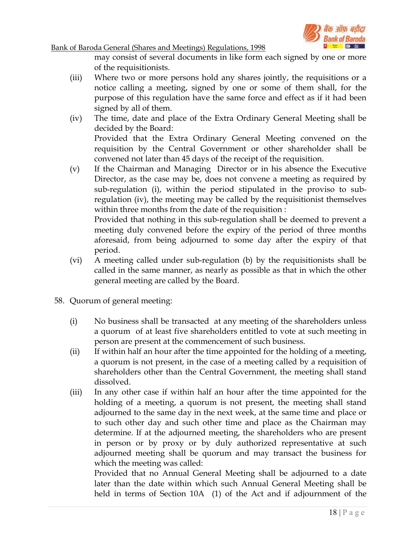

may consist of several documents in like form each signed by one or more of the requisitionists.

- (iii) Where two or more persons hold any shares jointly, the requisitions or a notice calling a meeting, signed by one or some of them shall, for the purpose of this regulation have the same force and effect as if it had been signed by all of them.
- (iv) The time, date and place of the Extra Ordinary General Meeting shall be decided by the Board: Provided that the Extra Ordinary General Meeting convened on the requisition by the Central Government or other shareholder shall be convened not later than 45 days of the receipt of the requisition.
- (v) If the Chairman and Managing Director or in his absence the Executive Director, as the case may be, does not convene a meeting as required by sub-regulation (i), within the period stipulated in the proviso to subregulation (iv), the meeting may be called by the requisitionist themselves within three months from the date of the requisition :

Provided that nothing in this sub-regulation shall be deemed to prevent a meeting duly convened before the expiry of the period of three months aforesaid, from being adjourned to some day after the expiry of that period.

- (vi) A meeting called under sub-regulation (b) by the requisitionists shall be called in the same manner, as nearly as possible as that in which the other general meeting are called by the Board.
- 58. Quorum of general meeting:
	- (i) No business shall be transacted at any meeting of the shareholders unless a quorum of at least five shareholders entitled to vote at such meeting in person are present at the commencement of such business.
	- (ii) If within half an hour after the time appointed for the holding of a meeting, a quorum is not present, in the case of a meeting called by a requisition of shareholders other than the Central Government, the meeting shall stand dissolved.
	- (iii) In any other case if within half an hour after the time appointed for the holding of a meeting, a quorum is not present, the meeting shall stand adjourned to the same day in the next week, at the same time and place or to such other day and such other time and place as the Chairman may determine. If at the adjourned meeting, the shareholders who are present in person or by proxy or by duly authorized representative at such adjourned meeting shall be quorum and may transact the business for which the meeting was called:

Provided that no Annual General Meeting shall be adjourned to a date later than the date within which such Annual General Meeting shall be held in terms of Section 10A (1) of the Act and if adjournment of the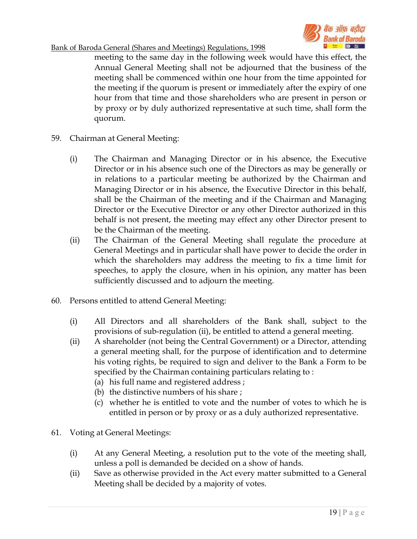



meeting to the same day in the following week would have this effect, the Annual General Meeting shall not be adjourned that the business of the meeting shall be commenced within one hour from the time appointed for the meeting if the quorum is present or immediately after the expiry of one hour from that time and those shareholders who are present in person or by proxy or by duly authorized representative at such time, shall form the quorum.

- 59. Chairman at General Meeting:
	- (i) The Chairman and Managing Director or in his absence, the Executive Director or in his absence such one of the Directors as may be generally or in relations to a particular meeting be authorized by the Chairman and Managing Director or in his absence, the Executive Director in this behalf, shall be the Chairman of the meeting and if the Chairman and Managing Director or the Executive Director or any other Director authorized in this behalf is not present, the meeting may effect any other Director present to be the Chairman of the meeting.
	- (ii) The Chairman of the General Meeting shall regulate the procedure at General Meetings and in particular shall have power to decide the order in which the shareholders may address the meeting to fix a time limit for speeches, to apply the closure, when in his opinion, any matter has been sufficiently discussed and to adjourn the meeting.
- 60. Persons entitled to attend General Meeting:
	- (i) All Directors and all shareholders of the Bank shall, subject to the provisions of sub-regulation (ii), be entitled to attend a general meeting.
	- (ii) A shareholder (not being the Central Government) or a Director, attending a general meeting shall, for the purpose of identification and to determine his voting rights, be required to sign and deliver to the Bank a Form to be specified by the Chairman containing particulars relating to :
		- (a) his full name and registered address ;
		- (b) the distinctive numbers of his share ;
		- (c) whether he is entitled to vote and the number of votes to which he is entitled in person or by proxy or as a duly authorized representative.
- 61. Voting at General Meetings:
	- (i) At any General Meeting, a resolution put to the vote of the meeting shall, unless a poll is demanded be decided on a show of hands.
	- (ii) Save as otherwise provided in the Act every matter submitted to a General Meeting shall be decided by a majority of votes.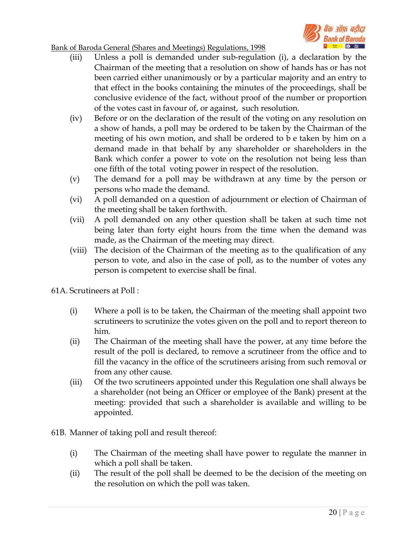

- (iii) Unless a poll is demanded under sub-regulation (i), a declaration by the Chairman of the meeting that a resolution on show of hands has or has not been carried either unanimously or by a particular majority and an entry to that effect in the books containing the minutes of the proceedings, shall be conclusive evidence of the fact, without proof of the number or proportion of the votes cast in favour of, or against, such resolution.
- (iv) Before or on the declaration of the result of the voting on any resolution on a show of hands, a poll may be ordered to be taken by the Chairman of the meeting of his own motion, and shall be ordered to b e taken by him on a demand made in that behalf by any shareholder or shareholders in the Bank which confer a power to vote on the resolution not being less than one fifth of the total voting power in respect of the resolution.
- (v) The demand for a poll may be withdrawn at any time by the person or persons who made the demand.
- (vi) A poll demanded on a question of adjournment or election of Chairman of the meeting shall be taken forthwith.
- (vii) A poll demanded on any other question shall be taken at such time not being later than forty eight hours from the time when the demand was made, as the Chairman of the meeting may direct.
- (viii) The decision of the Chairman of the meeting as to the qualification of any person to vote, and also in the case of poll, as to the number of votes any person is competent to exercise shall be final.
- 61A. Scrutineers at Poll :
	- (i) Where a poll is to be taken, the Chairman of the meeting shall appoint two scrutineers to scrutinize the votes given on the poll and to report thereon to him.
	- (ii) The Chairman of the meeting shall have the power, at any time before the result of the poll is declared, to remove a scrutineer from the office and to fill the vacancy in the office of the scrutineers arising from such removal or from any other cause.
	- (iii) Of the two scrutineers appointed under this Regulation one shall always be a shareholder (not being an Officer or employee of the Bank) present at the meeting: provided that such a shareholder is available and willing to be appointed.
- 61B. Manner of taking poll and result thereof:
	- (i) The Chairman of the meeting shall have power to regulate the manner in which a poll shall be taken.
	- (ii) The result of the poll shall be deemed to be the decision of the meeting on the resolution on which the poll was taken.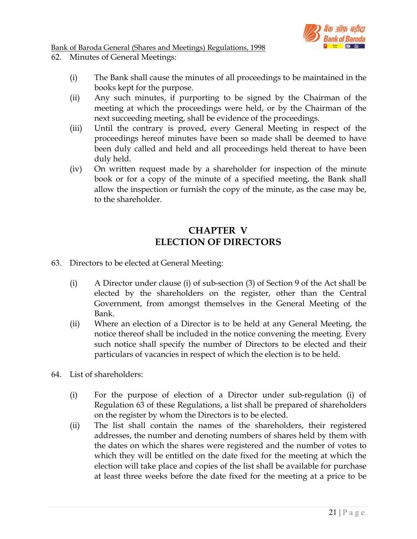

- 62. Minutes of General Meetings:
	- (i) The Bank shall cause the minutes of all proceedings to be maintained in the books kept for the purpose.
	- (ii) Any such minutes, if purporting to be signed by the Chairman of the meeting at which the proceedings were held, or by the Chairman of the next succeeding meeting, shall be evidence of the proceedings.
	- (iii) Until the contrary is proved, every General Meeting in respect of the proceedings hereof minutes have been so made shall be deemed to have been duly called and held and all proceedings held thereat to have been duly held.
	- (iv) On written request made by a shareholder for inspection of the minute book or for a copy of the minute of a specified meeting, the Bank shall allow the inspection or furnish the copy of the minute, as the case may be, to the shareholder.

## CHAPTER V ELECTION OF DIRECTORS

- 63. Directors to be elected at General Meeting:
	- (i) A Director under clause (i) of sub-section (3) of Section 9 of the Act shall be elected by the shareholders on the register, other than the Central Government, from amongst themselves in the General Meeting of the Bank.
	- (ii) Where an election of a Director is to be held at any General Meeting, the notice thereof shall be included in the notice convening the meeting. Every such notice shall specify the number of Directors to be elected and their particulars of vacancies in respect of which the election is to be held.
- 64. List of shareholders:
	- (i) For the purpose of election of a Director under sub-regulation (i) of Regulation 63 of these Regulations, a list shall be prepared of shareholders on the register by whom the Directors is to be elected.
	- (ii) The list shall contain the names of the shareholders, their registered addresses, the number and denoting numbers of shares held by them with the dates on which the shares were registered and the number of votes to which they will be entitled on the date fixed for the meeting at which the election will take place and copies of the list shall be available for purchase at least three weeks before the date fixed for the meeting at a price to be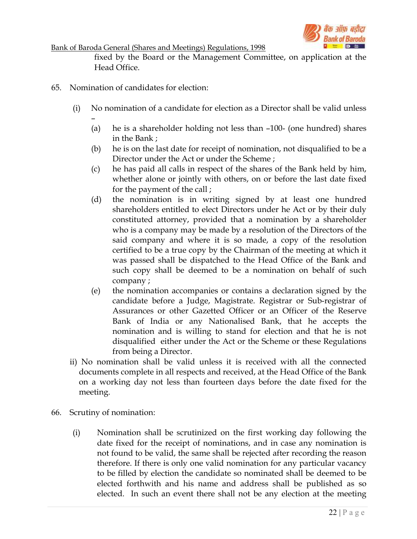

fixed by the Board or the Management Committee, on application at the Head Office.

65. Nomination of candidates for election:

–

- (i) No nomination of a candidate for election as a Director shall be valid unless
	- (a) he is a shareholder holding not less than –100- (one hundred) shares in the Bank ;
	- (b) he is on the last date for receipt of nomination, not disqualified to be a Director under the Act or under the Scheme ;
	- (c) he has paid all calls in respect of the shares of the Bank held by him, whether alone or jointly with others, on or before the last date fixed for the payment of the call ;
	- (d) the nomination is in writing signed by at least one hundred shareholders entitled to elect Directors under he Act or by their duly constituted attorney, provided that a nomination by a shareholder who is a company may be made by a resolution of the Directors of the said company and where it is so made, a copy of the resolution certified to be a true copy by the Chairman of the meeting at which it was passed shall be dispatched to the Head Office of the Bank and such copy shall be deemed to be a nomination on behalf of such company ;
	- (e) the nomination accompanies or contains a declaration signed by the candidate before a Judge, Magistrate. Registrar or Sub-registrar of Assurances or other Gazetted Officer or an Officer of the Reserve Bank of India or any Nationalised Bank, that he accepts the nomination and is willing to stand for election and that he is not disqualified either under the Act or the Scheme or these Regulations from being a Director.
- ii) No nomination shall be valid unless it is received with all the connected documents complete in all respects and received, at the Head Office of the Bank on a working day not less than fourteen days before the date fixed for the meeting.
- 66. Scrutiny of nomination:
	- (i) Nomination shall be scrutinized on the first working day following the date fixed for the receipt of nominations, and in case any nomination is not found to be valid, the same shall be rejected after recording the reason therefore. If there is only one valid nomination for any particular vacancy to be filled by election the candidate so nominated shall be deemed to be elected forthwith and his name and address shall be published as so elected. In such an event there shall not be any election at the meeting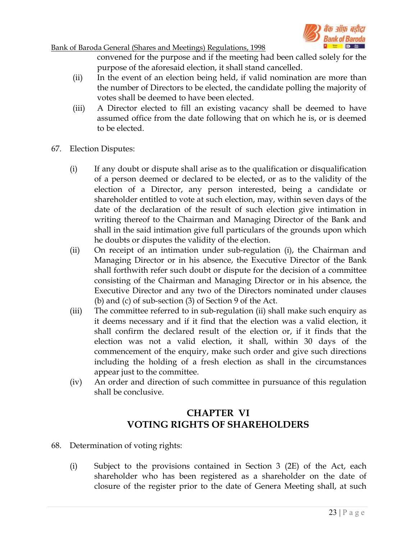

convened for the purpose and if the meeting had been called solely for the purpose of the aforesaid election, it shall stand cancelled.

- (ii) In the event of an election being held, if valid nomination are more than the number of Directors to be elected, the candidate polling the majority of votes shall be deemed to have been elected.
- (iii) A Director elected to fill an existing vacancy shall be deemed to have assumed office from the date following that on which he is, or is deemed to be elected.
- 67. Election Disputes:
	- (i) If any doubt or dispute shall arise as to the qualification or disqualification of a person deemed or declared to be elected, or as to the validity of the election of a Director, any person interested, being a candidate or shareholder entitled to vote at such election, may, within seven days of the date of the declaration of the result of such election give intimation in writing thereof to the Chairman and Managing Director of the Bank and shall in the said intimation give full particulars of the grounds upon which he doubts or disputes the validity of the election.
	- (ii) On receipt of an intimation under sub-regulation (i), the Chairman and Managing Director or in his absence, the Executive Director of the Bank shall forthwith refer such doubt or dispute for the decision of a committee consisting of the Chairman and Managing Director or in his absence, the Executive Director and any two of the Directors nominated under clauses (b) and (c) of sub-section (3) of Section 9 of the Act.
	- (iii) The committee referred to in sub-regulation (ii) shall make such enquiry as it deems necessary and if it find that the election was a valid election, it shall confirm the declared result of the election or, if it finds that the election was not a valid election, it shall, within 30 days of the commencement of the enquiry, make such order and give such directions including the holding of a fresh election as shall in the circumstances appear just to the committee.
	- (iv) An order and direction of such committee in pursuance of this regulation shall be conclusive.

# CHAPTER VI VOTING RIGHTS OF SHAREHOLDERS

- 68. Determination of voting rights:
	- (i) Subject to the provisions contained in Section 3 (2E) of the Act, each shareholder who has been registered as a shareholder on the date of closure of the register prior to the date of Genera Meeting shall, at such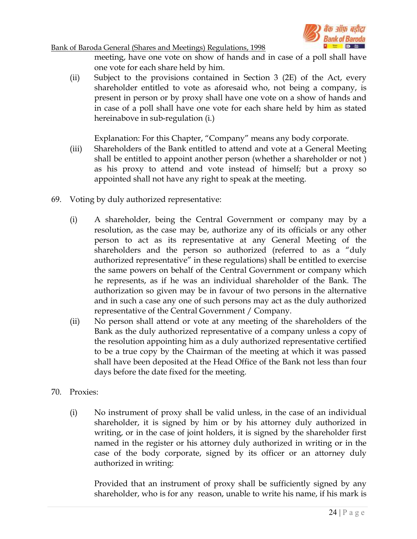

meeting, have one vote on show of hands and in case of a poll shall have one vote for each share held by him.

(ii) Subject to the provisions contained in Section 3 (2E) of the Act, every shareholder entitled to vote as aforesaid who, not being a company, is present in person or by proxy shall have one vote on a show of hands and in case of a poll shall have one vote for each share held by him as stated hereinabove in sub-regulation (i.)

Explanation: For this Chapter, "Company" means any body corporate.

- (iii) Shareholders of the Bank entitled to attend and vote at a General Meeting shall be entitled to appoint another person (whether a shareholder or not ) as his proxy to attend and vote instead of himself; but a proxy so appointed shall not have any right to speak at the meeting.
- 69. Voting by duly authorized representative:
	- (i) A shareholder, being the Central Government or company may by a resolution, as the case may be, authorize any of its officials or any other person to act as its representative at any General Meeting of the shareholders and the person so authorized (referred to as a "duly authorized representative" in these regulations) shall be entitled to exercise the same powers on behalf of the Central Government or company which he represents, as if he was an individual shareholder of the Bank. The authorization so given may be in favour of two persons in the alternative and in such a case any one of such persons may act as the duly authorized representative of the Central Government / Company.
	- (ii) No person shall attend or vote at any meeting of the shareholders of the Bank as the duly authorized representative of a company unless a copy of the resolution appointing him as a duly authorized representative certified to be a true copy by the Chairman of the meeting at which it was passed shall have been deposited at the Head Office of the Bank not less than four days before the date fixed for the meeting.
- 70. Proxies:
	- (i) No instrument of proxy shall be valid unless, in the case of an individual shareholder, it is signed by him or by his attorney duly authorized in writing, or in the case of joint holders, it is signed by the shareholder first named in the register or his attorney duly authorized in writing or in the case of the body corporate, signed by its officer or an attorney duly authorized in writing:

Provided that an instrument of proxy shall be sufficiently signed by any shareholder, who is for any reason, unable to write his name, if his mark is